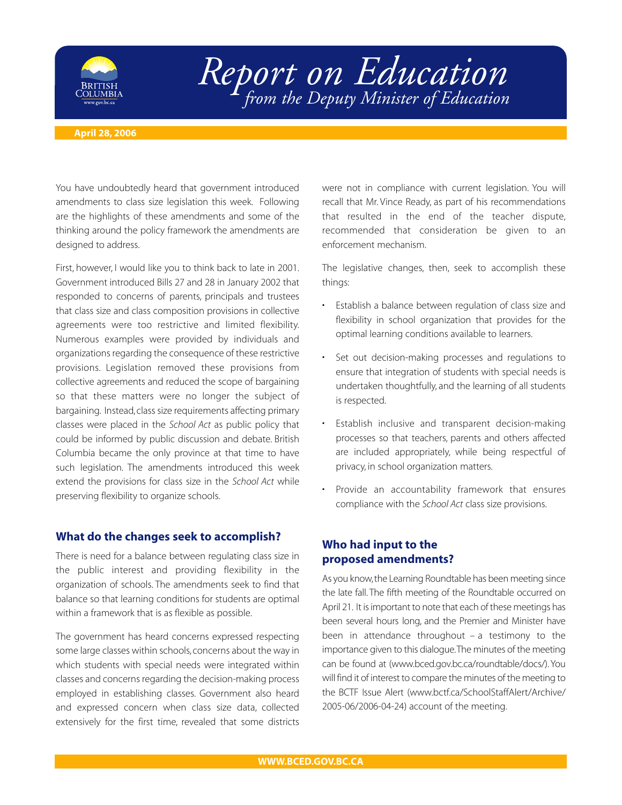

# *Report on Education from the Deputy Minister of Education*

#### **April 28, 2006**

You have undoubtedly heard that government introduced amendments to class size legislation this week. Following are the highlights of these amendments and some of the thinking around the policy framework the amendments are designed to address.

First, however, I would like you to think back to late in 2001. Government introduced Bills 27 and 28 in January 2002 that responded to concerns of parents, principals and trustees that class size and class composition provisions in collective agreements were too restrictive and limited flexibility. Numerous examples were provided by individuals and organizations regarding the consequence of these restrictive provisions. Legislation removed these provisions from collective agreements and reduced the scope of bargaining so that these matters were no longer the subject of bargaining. Instead, class size requirements affecting primary classes were placed in the *School Act* as public policy that could be informed by public discussion and debate. British Columbia became the only province at that time to have such legislation. The amendments introduced this week extend the provisions for class size in the *School Act* while preserving flexibility to organize schools.

## **What do the changes seek to accomplish?**

There is need for a balance between regulating class size in the public interest and providing flexibility in the organization of schools. The amendments seek to find that balance so that learning conditions for students are optimal within a framework that is as flexible as possible.

The government has heard concerns expressed respecting some large classes within schools, concerns about the way in which students with special needs were integrated within classes and concerns regarding the decision-making process employed in establishing classes. Government also heard and expressed concern when class size data, collected extensively for the first time, revealed that some districts

were not in compliance with current legislation. You will recall that Mr. Vince Ready, as part of his recommendations that resulted in the end of the teacher dispute, recommended that consideration be given to an enforcement mechanism.

The legislative changes, then, seek to accomplish these things:

- Establish a balance between regulation of class size and flexibility in school organization that provides for the optimal learning conditions available to learners.
- Set out decision-making processes and regulations to ensure that integration of students with special needs is undertaken thoughtfully, and the learning of all students is respected.
- Establish inclusive and transparent decision-making processes so that teachers, parents and others affected are included appropriately, while being respectful of privacy, in school organization matters.
- Provide an accountability framework that ensures compliance with the *School Act* class size provisions.

# **Who had input to the proposed amendments?**

As you know,the Learning Roundtable has been meeting since the late fall. The fifth meeting of the Roundtable occurred on April 21. It is important to note that each of these meetings has been several hours long, and the Premier and Minister have been in attendance throughout  $-$  a testimony to the importance given to this dialogue.The minutes of the meeting can be found at (www.bced.gov.bc.ca/roundtable/docs/). You will find it of interest to compare the minutes of the meeting to the BCTF Issue Alert (www.bctf.ca/SchoolStaffAlert/Archive/ 2005-06/2006-04-24) account of the meeting.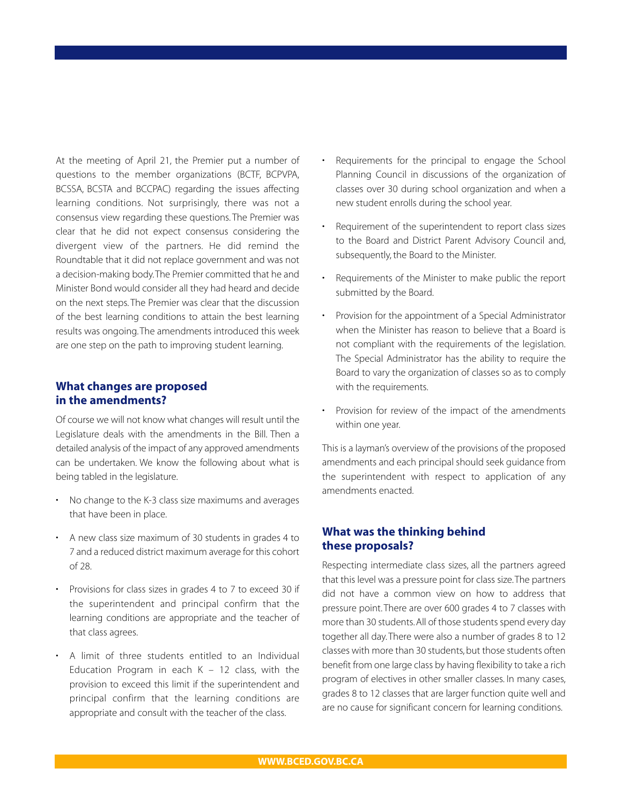At the meeting of April 21, the Premier put a number of questions to the member organizations (BCTF, BCPVPA, BCSSA, BCSTA and BCCPAC) regarding the issues affecting learning conditions. Not surprisingly, there was not a consensus view regarding these questions. The Premier was clear that he did not expect consensus considering the divergent view of the partners. He did remind the Roundtable that it did not replace government and was not a decision-making body.The Premier committed that he and Minister Bond would consider all they had heard and decide on the next steps. The Premier was clear that the discussion of the best learning conditions to attain the best learning results was ongoing.The amendments introduced this week are one step on the path to improving student learning.

## **What changes are proposed in the amendments?**

Of course we will not know what changes will result until the Legislature deals with the amendments in the Bill. Then a detailed analysis of the impact of any approved amendments can be undertaken. We know the following about what is being tabled in the legislature.

- No change to the K-3 class size maximums and averages that have been in place.
- A new class size maximum of 30 students in grades 4 to 7 and a reduced district maximum average for this cohort of 28.
- Provisions for class sizes in grades 4 to 7 to exceed 30 if the superintendent and principal confirm that the learning conditions are appropriate and the teacher of that class agrees.
- A limit of three students entitled to an Individual Education Program in each  $K - 12$  class, with the provision to exceed this limit if the superintendent and principal confirm that the learning conditions are appropriate and consult with the teacher of the class.
- Requirements for the principal to engage the School Planning Council in discussions of the organization of classes over 30 during school organization and when a new student enrolls during the school year.
- Requirement of the superintendent to report class sizes to the Board and District Parent Advisory Council and, subsequently, the Board to the Minister.
- Requirements of the Minister to make public the report submitted by the Board.
- Provision for the appointment of a Special Administrator when the Minister has reason to believe that a Board is not compliant with the requirements of the legislation. The Special Administrator has the ability to require the Board to vary the organization of classes so as to comply with the requirements.
- Provision for review of the impact of the amendments within one year.

This is a layman's overview of the provisions of the proposed amendments and each principal should seek guidance from the superintendent with respect to application of any amendments enacted.

## **What was the thinking behind these proposals?**

Respecting intermediate class sizes, all the partners agreed that this level was a pressure point for class size.The partners did not have a common view on how to address that pressure point. There are over 600 grades 4 to 7 classes with more than 30 students.All of those students spend every day together all day. There were also a number of grades 8 to 12 classes with more than 30 students, but those students often benefit from one large class by having flexibility to take a rich program of electives in other smaller classes. In many cases, grades 8 to 12 classes that are larger function quite well and are no cause for significant concern for learning conditions.